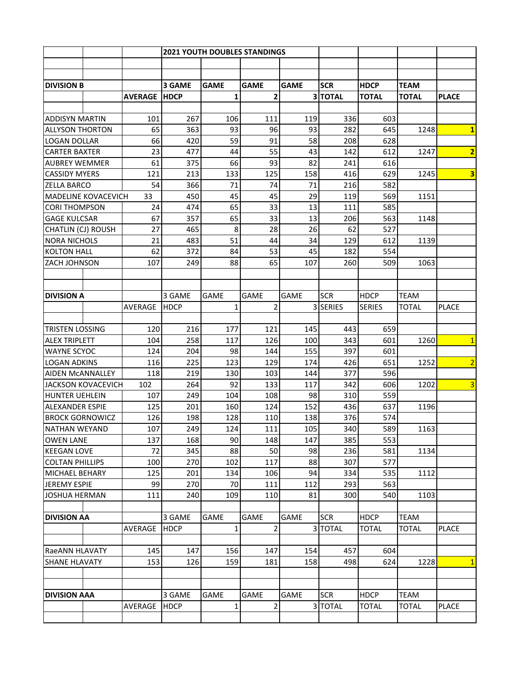|                             |                            |                | <b>2021 YOUTH DOUBLES STANDINGS</b> |              |                               |             |               |               |                |                         |
|-----------------------------|----------------------------|----------------|-------------------------------------|--------------|-------------------------------|-------------|---------------|---------------|----------------|-------------------------|
|                             |                            |                |                                     |              |                               |             |               |               |                |                         |
|                             |                            |                |                                     |              |                               |             |               |               |                |                         |
| <b>DIVISION B</b>           |                            |                | 3 GAME                              | <b>GAME</b>  | <b>GAME</b>                   | <b>GAME</b> | <b>SCR</b>    | <b>HDCP</b>   | <b>TEAM</b>    |                         |
|                             |                            | <b>AVERAGE</b> | <b>HDCP</b>                         | 1            | $\overline{2}$                |             | 3 TOTAL       | <b>TOTAL</b>  | <b>TOTAL</b>   | <b>PLACE</b>            |
|                             |                            | 101            |                                     |              |                               |             |               |               |                |                         |
|                             | <b>ADDISYN MARTIN</b>      |                | 267                                 | 106          | 111                           | 119         | 336           | 603           |                |                         |
| <b>ALLYSON THORTON</b>      |                            | 65<br>66       | 363                                 | 93           | 96                            | 93          | 282           | 645           | 1248           | $\mathbf{1}$            |
|                             | <b>LOGAN DOLLAR</b>        |                | 420                                 | 59           | 91                            | 58          | 208           | 628           |                |                         |
| <b>CARTER BAXTER</b>        |                            | 23             | 477                                 | 44           | 55                            | 43          | 142           | 612           | 1247           | $\overline{2}$          |
| <b>AUBREY WEMMER</b>        |                            | 61             | 375                                 | 66           | 93                            | 82          | 241           | 616           |                |                         |
|                             | <b>CASSIDY MYERS</b>       |                | 213                                 | 133          | 125                           | 158         | 416           | 629           | 1245           | $\overline{\mathbf{3}}$ |
| <b>ZELLA BARCO</b>          |                            | 54             | 366                                 | 71           | 74                            | 71          | 216           | 582           |                |                         |
|                             | <b>MADELINE KOVACEVICH</b> | 33             | 450                                 | 45           | 45                            | 29          | 119           | 569           | 1151           |                         |
|                             | <b>CORI THOMPSON</b>       |                | 24<br>474                           | 65           | 33                            | 13          | 111           | 585           |                |                         |
| <b>GAGE KULCSAR</b>         |                            | 67             | 357                                 | 65           | 33                            | 13          | 206           | 563           | 1148           |                         |
| CHATLIN (CJ) ROUSH          |                            | 27             | 465                                 | 8            | 28                            | 26          | 62            | 527           |                |                         |
| <b>NORA NICHOLS</b>         |                            | 21             | 483                                 | 51           | 44                            | 34          | 129           | 612           | 1139           |                         |
| <b>KOLTON HALL</b>          |                            | 62             | 372                                 | 84           | 53                            | 45          | 182           | 554           |                |                         |
| ZACH JOHNSON                |                            | 107            | 249                                 | 88           | 65                            | 107         | 260           | 509           | 1063           |                         |
|                             |                            |                |                                     |              |                               |             |               |               |                |                         |
|                             |                            |                |                                     |              |                               |             |               |               |                |                         |
| <b>IDIVISION A</b>          |                            |                | 3 GAME                              | <b>GAME</b>  | <b>GAME</b>                   | <b>GAME</b> | <b>SCR</b>    | <b>HDCP</b>   | <b>TEAM</b>    |                         |
|                             |                            | AVERAGE        | <b>HDCP</b>                         | 1            | $\overline{2}$                | 3           | <b>SERIES</b> | <b>SERIES</b> | <b>TOTAL</b>   | <b>PLACE</b>            |
|                             |                            |                |                                     |              |                               |             |               |               |                |                         |
| <b>TRISTEN LOSSING</b>      |                            | 120            | 216                                 | 177          | 121                           | 145         | 443           | 659           |                |                         |
| <b>ALEX TRIPLETT</b>        |                            | 104            | 258                                 | 117          | 126                           | 100         | 343           | 601           | 1260           | $\mathbf{1}$            |
| <b>WAYNE SCYOC</b>          |                            | 124            | 204                                 | 98           | 144                           | 155         | 397           | 601           |                |                         |
| <b>LOGAN ADKINS</b>         |                            | 116            | 225                                 | 123          | 129                           | 174         | 426           | 651           | 1252           | $\overline{2}$          |
| <b>AIDEN MCANNALLEY</b>     |                            | 118            | 219                                 | 130          | 103                           | 144         | 377           | 596           |                |                         |
|                             | <b>JACKSON KOVACEVICH</b>  |                | 264                                 | 92           | 133                           | 117         | 342           | 606           | 1202           | $\overline{3}$          |
|                             | <b>HUNTER UEHLEIN</b>      |                | 249                                 | 104          | 108                           | 98          | 310           | 559           |                |                         |
| <b>ALEXANDER ESPIE</b>      |                            | 125            | 201                                 | 160          | 124                           | 152         | 436           | 637           | 1196           |                         |
| <b>BROCK GORNOWICZ</b>      |                            | 126            | 198                                 | 128          | 110                           | 138         | 376           | 574           |                |                         |
|                             | NATHAN WEYAND              |                | 107<br>249                          | 124          | 111                           | 105         | 340           | 589           | 1163           |                         |
| <b>OWEN LANE</b>            |                            | 137            | 168                                 | 90           | 148                           | 147         | 385           | 553           |                |                         |
|                             | <b>KEEGAN LOVE</b>         |                | 72<br>345                           | 88           | 50                            | 98          | 236           | 581           | 1134           |                         |
| <b>COLTAN PHILLIPS</b>      |                            | 100            | 270                                 | 102          | 117                           | 88          | 307           | 577           |                |                         |
| <b>MICHAEL BEHARY</b>       |                            | 125            | 201                                 | 134          | 106                           | 94          | 334           | 535           | 1112           |                         |
| <b>JEREMY ESPIE</b>         |                            | 99             | 270                                 | 70           | 111                           | 112         | 293           | 563           |                |                         |
| <b>JOSHUA HERMAN</b>        |                            | 111            | 240                                 | 109          | 110                           | 81          | 300           | 540           | 1103           |                         |
|                             |                            |                |                                     |              |                               |             |               |               |                |                         |
| <b>DIVISION AA</b>          |                            |                | 3 GAME                              | <b>GAME</b>  | GAME                          | <b>GAME</b> | <b>SCR</b>    | <b>HDCP</b>   | <b>TEAM</b>    |                         |
|                             |                            | AVERAGE        | <b>HDCP</b>                         | $\mathbf{1}$ | $\overline{2}$                |             | 3 TOTAL       | <b>TOTAL</b>  | <b>TOTAL</b>   | <b>PLACE</b>            |
|                             |                            |                |                                     |              |                               |             |               |               |                |                         |
| <b>RaeANN HLAVATY</b>       |                            | 145            | 147                                 | 156          | 147                           | 154         | 457           | 604           |                |                         |
| 153<br><b>SHANE HLAVATY</b> |                            | 126            | 159                                 | 181          | 158                           | 498         | 624           | 1228          | $\overline{1}$ |                         |
|                             |                            |                |                                     |              |                               |             |               |               |                |                         |
|                             |                            |                |                                     |              |                               |             |               |               |                |                         |
| <b>DIVISION AAA</b>         |                            |                | 3 GAME                              | <b>GAME</b>  | <b>GAME</b><br>$\overline{2}$ | <b>GAME</b> | <b>SCR</b>    | <b>HDCP</b>   | <b>TEAM</b>    |                         |
|                             |                            | AVERAGE        | <b>HDCP</b>                         | 1            |                               |             | 3 TOTAL       | TOTAL         | TOTAL          | <b>PLACE</b>            |
|                             |                            |                |                                     |              |                               |             |               |               |                |                         |